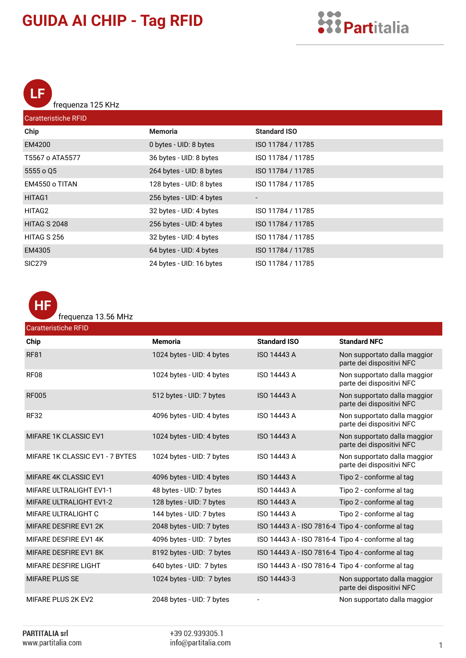LF frequenza 125 KHz

| <b>Caratteristiche RFID</b> |                          |                     |  |
|-----------------------------|--------------------------|---------------------|--|
| Chip                        | <b>Memoria</b>           | <b>Standard ISO</b> |  |
| EM4200                      | 0 bytes - UID: 8 bytes   | ISO 11784 / 11785   |  |
| T5567 o ATA5577             | 36 bytes - UID: 8 bytes  | ISO 11784 / 11785   |  |
| 5555 o Q5                   | 264 bytes - UID: 8 bytes | ISO 11784 / 11785   |  |
| EM4550 o TITAN              | 128 bytes - UID: 8 bytes | ISO 11784 / 11785   |  |
| HITAG1                      | 256 bytes - UID: 4 bytes |                     |  |
| HITAG2                      | 32 bytes - UID: 4 bytes  | ISO 11784 / 11785   |  |
| <b>HITAG S 2048</b>         | 256 bytes - UID: 4 bytes | ISO 11784 / 11785   |  |
| HITAG S 256                 | 32 bytes - UID: 4 bytes  | ISO 11784 / 11785   |  |
| EM4305                      | 64 bytes - UID: 4 bytes  | ISO 11784 / 11785   |  |
| <b>SIC279</b>               | 24 bytes - UID: 16 bytes | ISO 11784 / 11785   |  |



frequenza 13.56 MHz

| <b>Caratteristiche RFID</b>     |                           |                                                   |                                                           |
|---------------------------------|---------------------------|---------------------------------------------------|-----------------------------------------------------------|
| Chip                            | <b>Memoria</b>            | <b>Standard ISO</b>                               | <b>Standard NFC</b>                                       |
| <b>RF81</b>                     | 1024 bytes - UID: 4 bytes | <b>ISO 14443 A</b>                                | Non supportato dalla maggior<br>parte dei dispositivi NFC |
| <b>RF08</b>                     | 1024 bytes - UID: 4 bytes | ISO 14443 A                                       | Non supportato dalla maggior<br>parte dei dispositivi NFC |
| <b>RF005</b>                    | 512 bytes - UID: 7 bytes  | <b>ISO 14443 A</b>                                | Non supportato dalla maggior<br>parte dei dispositivi NFC |
| <b>RF32</b>                     | 4096 bytes - UID: 4 bytes | ISO 14443 A                                       | Non supportato dalla maggior<br>parte dei dispositivi NFC |
| <b>MIFARE 1K CLASSIC EV1</b>    | 1024 bytes - UID: 4 bytes | <b>ISO 14443 A</b>                                | Non supportato dalla maggior<br>parte dei dispositivi NFC |
| MIFARE 1K CLASSIC EV1 - 7 BYTES | 1024 bytes - UID: 7 bytes | <b>ISO 14443 A</b>                                | Non supportato dalla maggior<br>parte dei dispositivi NFC |
| <b>MIFARE 4K CLASSIC EV1</b>    | 4096 bytes - UID: 4 bytes | <b>ISO 14443 A</b>                                | Tipo 2 - conforme al tag                                  |
| <b>MIFARE ULTRALIGHT EV1-1</b>  | 48 bytes - UID: 7 bytes   | <b>ISO 14443 A</b>                                | Tipo 2 - conforme al tag                                  |
| <b>MIFARE ULTRALIGHT EV1-2</b>  | 128 bytes - UID: 7 bytes  | <b>ISO 14443 A</b>                                | Tipo 2 - conforme al tag                                  |
| MIFARE ULTRALIGHT C             | 144 bytes - UID: 7 bytes  | <b>ISO 14443 A</b>                                | Tipo 2 - conforme al tag                                  |
| MIFARE DESFIRE EV1 2K           | 2048 bytes - UID: 7 bytes | ISO 14443 A - ISO 7816-4 Tipo 4 - conforme al tag |                                                           |
| MIFARE DESFIRE EV1 4K           | 4096 bytes - UID: 7 bytes | ISO 14443 A - ISO 7816-4 Tipo 4 - conforme al tag |                                                           |
| MIFARE DESFIRE EV1 8K           | 8192 bytes - UID: 7 bytes | ISO 14443 A - ISO 7816-4 Tipo 4 - conforme al tag |                                                           |
| MIFARE DESFIRE LIGHT            | 640 bytes - UID: 7 bytes  | ISO 14443 A - ISO 7816-4 Tipo 4 - conforme al tag |                                                           |
| <b>MIFARE PLUS SE</b>           | 1024 bytes - UID: 7 bytes | ISO 14443-3                                       | Non supportato dalla maggior<br>parte dei dispositivi NFC |
| <b>MIFARE PLUS 2K EV2</b>       | 2048 bytes - UID: 7 bytes |                                                   | Non supportato dalla maggior                              |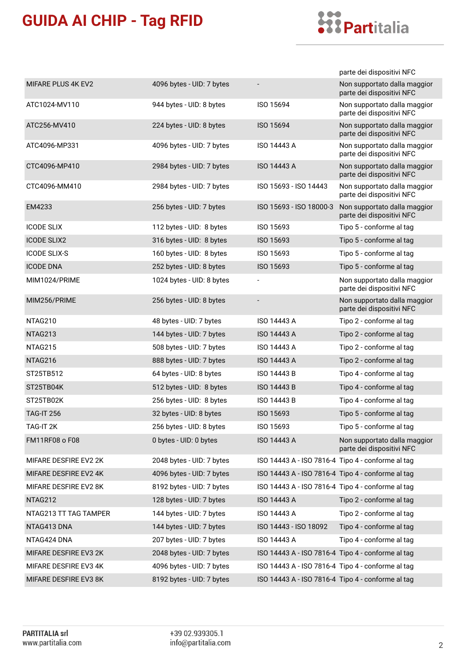

|                       |                           |                                                   | parte dei dispositivi NFC                                 |
|-----------------------|---------------------------|---------------------------------------------------|-----------------------------------------------------------|
| MIFARE PLUS 4K EV2    | 4096 bytes - UID: 7 bytes |                                                   | Non supportato dalla maggior<br>parte dei dispositivi NFC |
| ATC1024-MV110         | 944 bytes - UID: 8 bytes  | ISO 15694                                         | Non supportato dalla maggior<br>parte dei dispositivi NFC |
| ATC256-MV410          | 224 bytes - UID: 8 bytes  | ISO 15694                                         | Non supportato dalla maggior<br>parte dei dispositivi NFC |
| ATC4096-MP331         | 4096 bytes - UID: 7 bytes | ISO 14443 A                                       | Non supportato dalla maggior<br>parte dei dispositivi NFC |
| CTC4096-MP410         | 2984 bytes - UID: 7 bytes | ISO 14443 A                                       | Non supportato dalla maggior<br>parte dei dispositivi NFC |
| CTC4096-MM410         | 2984 bytes - UID: 7 bytes | ISO 15693 - ISO 14443                             | Non supportato dalla maggior<br>parte dei dispositivi NFC |
| EM4233                | 256 bytes - UID: 7 bytes  | ISO 15693 - ISO 18000-3                           | Non supportato dalla maggior<br>parte dei dispositivi NFC |
| <b>ICODE SLIX</b>     | 112 bytes - UID: 8 bytes  | ISO 15693                                         | Tipo 5 - conforme al tag                                  |
| <b>ICODE SLIX2</b>    | 316 bytes - UID: 8 bytes  | ISO 15693                                         | Tipo 5 - conforme al tag                                  |
| <b>ICODE SLIX-S</b>   | 160 bytes - UID: 8 bytes  | ISO 15693                                         | Tipo 5 - conforme al tag                                  |
| <b>ICODE DNA</b>      | 252 bytes - UID: 8 bytes  | ISO 15693                                         | Tipo 5 - conforme al tag                                  |
| MIM1024/PRIME         | 1024 bytes - UID: 8 bytes |                                                   | Non supportato dalla maggior<br>parte dei dispositivi NFC |
| MIM256/PRIME          | 256 bytes - UID: 8 bytes  |                                                   | Non supportato dalla maggior<br>parte dei dispositivi NFC |
| NTAG210               | 48 bytes - UID: 7 bytes   | ISO 14443 A                                       | Tipo 2 - conforme al tag                                  |
| NTAG213               | 144 bytes - UID: 7 bytes  | ISO 14443 A                                       | Tipo 2 - conforme al tag                                  |
| NTAG215               | 508 bytes - UID: 7 bytes  | ISO 14443 A                                       | Tipo 2 - conforme al tag                                  |
| NTAG216               | 888 bytes - UID: 7 bytes  | ISO 14443 A                                       | Tipo 2 - conforme al tag                                  |
| ST25TB512             | 64 bytes - UID: 8 bytes   | <b>ISO 14443 B</b>                                | Tipo 4 - conforme al tag                                  |
| ST25TB04K             | 512 bytes - UID: 8 bytes  | ISO 14443 B                                       | Tipo 4 - conforme al tag                                  |
| ST25TB02K             | 256 bytes - UID: 8 bytes  | ISO 14443 B                                       | Tipo 4 - conforme al tag                                  |
| <b>TAG-IT 256</b>     | 32 bytes - UID: 8 bytes   | ISO 15693                                         | Tipo 5 - conforme al tag                                  |
| TAG-IT 2K             | 256 bytes - UID: 8 bytes  | ISO 15693                                         | Tipo 5 - conforme al tag                                  |
| <b>FM11RF08 o F08</b> | 0 bytes - UID: 0 bytes    | ISO 14443 A                                       | Non supportato dalla maggior<br>parte dei dispositivi NFC |
| MIFARE DESFIRE EV2 2K | 2048 bytes - UID: 7 bytes | ISO 14443 A - ISO 7816-4 Tipo 4 - conforme al tag |                                                           |
| MIFARE DESFIRE EV2 4K | 4096 bytes - UID: 7 bytes | ISO 14443 A - ISO 7816-4 Tipo 4 - conforme al tag |                                                           |
| MIFARE DESFIRE EV2 8K | 8192 bytes - UID: 7 bytes | ISO 14443 A - ISO 7816-4 Tipo 4 - conforme al tag |                                                           |
| NTAG212               | 128 bytes - UID: 7 bytes  | <b>ISO 14443 A</b>                                | Tipo 2 - conforme al tag                                  |
| NTAG213 TT TAG TAMPER | 144 bytes - UID: 7 bytes  | ISO 14443 A                                       | Tipo 2 - conforme al tag                                  |
| NTAG413 DNA           | 144 bytes - UID: 7 bytes  | ISO 14443 - ISO 18092                             | Tipo 4 - conforme al tag                                  |
| NTAG424 DNA           | 207 bytes - UID: 7 bytes  | ISO 14443 A                                       | Tipo 4 - conforme al tag                                  |
| MIFARE DESFIRE EV3 2K | 2048 bytes - UID: 7 bytes | ISO 14443 A - ISO 7816-4 Tipo 4 - conforme al tag |                                                           |
| MIFARE DESFIRE EV3 4K | 4096 bytes - UID: 7 bytes | ISO 14443 A - ISO 7816-4 Tipo 4 - conforme al tag |                                                           |
| MIFARE DESFIRE EV3 8K | 8192 bytes - UID: 7 bytes | ISO 14443 A - ISO 7816-4 Tipo 4 - conforme al tag |                                                           |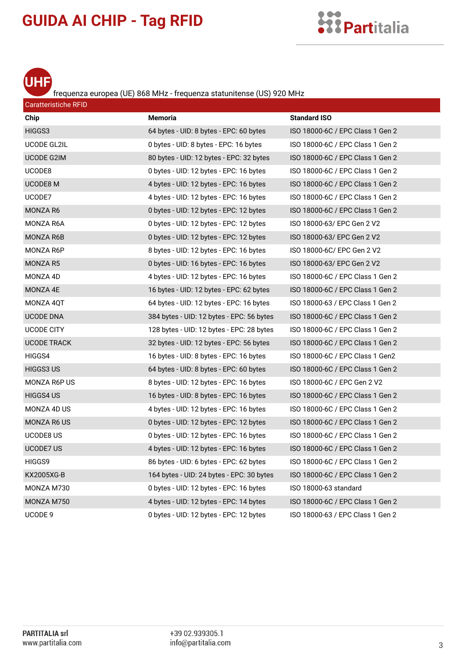



Caratteristiche RFID

#### frequenza europea (UE) 868 MHz - frequenza statunitense (US) 920 MHz

| Chip               | <b>Memoria</b>                            | <b>Standard ISO</b>              |
|--------------------|-------------------------------------------|----------------------------------|
| HIGGS3             | 64 bytes - UID: 8 bytes - EPC: 60 bytes   | ISO 18000-6C / EPC Class 1 Gen 2 |
| UCODE GL2IL        | 0 bytes - UID: 8 bytes - EPC: 16 bytes    | ISO 18000-6C / EPC Class 1 Gen 2 |
| UCODE G2IM         | 80 bytes - UID: 12 bytes - EPC: 32 bytes  | ISO 18000-6C / EPC Class 1 Gen 2 |
| UCODE8             | 0 bytes - UID: 12 bytes - EPC: 16 bytes   | ISO 18000-6C / EPC Class 1 Gen 2 |
| UCODE8 M           | 4 bytes - UID: 12 bytes - EPC: 16 bytes   | ISO 18000-6C / EPC Class 1 Gen 2 |
| UCODE7             | 4 bytes - UID: 12 bytes - EPC: 16 bytes   | ISO 18000-6C / EPC Class 1 Gen 2 |
| MONZA R6           | 0 bytes - UID: 12 bytes - EPC: 12 bytes   | ISO 18000-6C / EPC Class 1 Gen 2 |
| MONZA R6A          | 0 bytes - UID: 12 bytes - EPC: 12 bytes   | ISO 18000-63/ EPC Gen 2 V2       |
| <b>MONZA R6B</b>   | 0 bytes - UID: 12 bytes - EPC: 12 bytes   | ISO 18000-63/ EPC Gen 2 V2       |
| MONZA R6P          | 8 bytes - UID: 12 bytes - EPC: 16 bytes   | ISO 18000-6C/ EPC Gen 2 V2       |
| MONZA R5           | 0 bytes - UID: 16 bytes - EPC: 16 bytes   | ISO 18000-63/ EPC Gen 2 V2       |
| MONZA 4D           | 4 bytes - UID: 12 bytes - EPC: 16 bytes   | ISO 18000-6C / EPC Class 1 Gen 2 |
| MONZA 4E           | 16 bytes - UID: 12 bytes - EPC: 62 bytes  | ISO 18000-6C / EPC Class 1 Gen 2 |
| MONZA 4QT          | 64 bytes - UID: 12 bytes - EPC: 16 bytes  | ISO 18000-63 / EPC Class 1 Gen 2 |
| <b>UCODE DNA</b>   | 384 bytes - UID: 12 bytes - EPC: 56 bytes | ISO 18000-6C / EPC Class 1 Gen 2 |
| <b>UCODE CITY</b>  | 128 bytes - UID: 12 bytes - EPC: 28 bytes | ISO 18000-6C / EPC Class 1 Gen 2 |
| <b>UCODE TRACK</b> | 32 bytes - UID: 12 bytes - EPC: 56 bytes  | ISO 18000-6C / EPC Class 1 Gen 2 |
| HIGGS4             | 16 bytes - UID: 8 bytes - EPC: 16 bytes   | ISO 18000-6C / EPC Class 1 Gen2  |
| HIGGS3 US          | 64 bytes - UID: 8 bytes - EPC: 60 bytes   | ISO 18000-6C / EPC Class 1 Gen 2 |
| MONZA R6P US       | 8 bytes - UID: 12 bytes - EPC: 16 bytes   | ISO 18000-6C / EPC Gen 2 V2      |
| HIGGS4 US          | 16 bytes - UID: 8 bytes - EPC: 16 bytes   | ISO 18000-6C / EPC Class 1 Gen 2 |
| MONZA 4D US        | 4 bytes - UID: 12 bytes - EPC: 16 bytes   | ISO 18000-6C / EPC Class 1 Gen 2 |
| <b>MONZA R6 US</b> | 0 bytes - UID: 12 bytes - EPC: 12 bytes   | ISO 18000-6C / EPC Class 1 Gen 2 |
| <b>UCODE8 US</b>   | 0 bytes - UID: 12 bytes - EPC: 16 bytes   | ISO 18000-6C / EPC Class 1 Gen 2 |
| <b>UCODE7 US</b>   | 4 bytes - UID: 12 bytes - EPC: 16 bytes   | ISO 18000-6C / EPC Class 1 Gen 2 |
| HIGGS9             | 86 bytes - UID: 6 bytes - EPC: 62 bytes   | ISO 18000-6C / EPC Class 1 Gen 2 |
| KX2005XG-B         | 164 bytes - UID: 24 bytes - EPC: 30 bytes | ISO 18000-6C / EPC Class 1 Gen 2 |
| MONZA M730         | 0 bytes - UID: 12 bytes - EPC: 16 bytes   | ISO 18000-63 standard            |
| MONZA M750         | 4 bytes - UID: 12 bytes - EPC: 14 bytes   | ISO 18000-6C / EPC Class 1 Gen 2 |
| UCODE 9            | 0 bytes - UID: 12 bytes - EPC: 12 bytes   | ISO 18000-63 / EPC Class 1 Gen 2 |